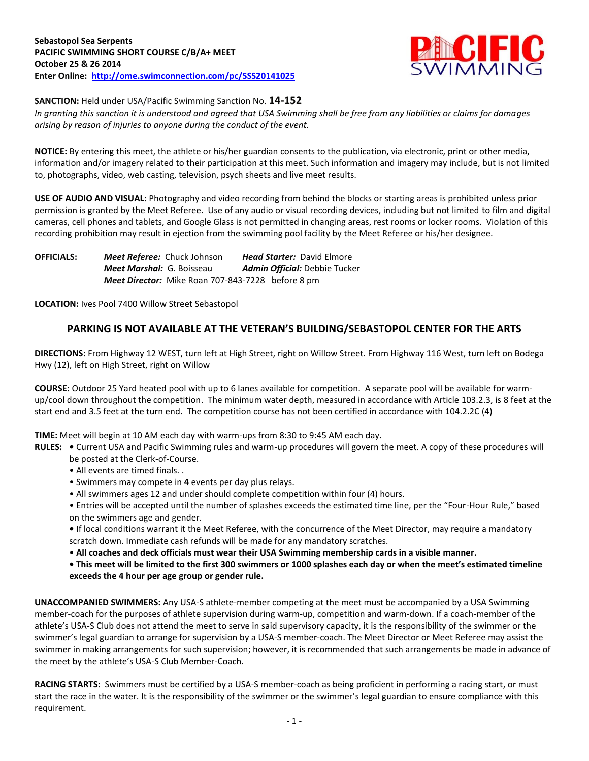

**SANCTION:** Held under USA/Pacific Swimming Sanction No. **14-152**

*In granting this sanction it is understood and agreed that USA Swimming shall be free from any liabilities or claims for damages arising by reason of injuries to anyone during the conduct of the event.*

**NOTICE:** By entering this meet, the athlete or his/her guardian consents to the publication, via electronic, print or other media, information and/or imagery related to their participation at this meet. Such information and imagery may include, but is not limited to, photographs, video, web casting, television, psych sheets and live meet results.

**USE OF AUDIO AND VISUAL:** Photography and video recording from behind the blocks or starting areas is prohibited unless prior permission is granted by the Meet Referee. Use of any audio or visual recording devices, including but not limited to film and digital cameras, cell phones and tablets, and Google Glass is not permitted in changing areas, rest rooms or locker rooms. Violation of this recording prohibition may result in ejection from the swimming pool facility by the Meet Referee or his/her designee.

**OFFICIALS:** *Meet Referee:* Chuck Johnson *Head Starter:* David Elmore *Meet Marshal:* G. Boisseau *Admin Official:* Debbie Tucker *Meet Director:* Mike Roan 707-843-7228 before 8 pm

**LOCATION:** Ives Pool 7400 Willow Street Sebastopol

# **PARKING IS NOT AVAILABLE AT THE VETERAN'S BUILDING/SEBASTOPOL CENTER FOR THE ARTS**

**DIRECTIONS:** From Highway 12 WEST, turn left at High Street, right on Willow Street. From Highway 116 West, turn left on Bodega Hwy (12), left on High Street, right on Willow

**COURSE:** Outdoor 25 Yard heated pool with up to 6 lanes available for competition. A separate pool will be available for warmup/cool down throughout the competition. The minimum water depth, measured in accordance with Article 103.2.3, is 8 feet at the start end and 3.5 feet at the turn end. The competition course has not been certified in accordance with 104.2.2C (4)

**TIME:** Meet will begin at 10 AM each day with warm-ups from 8:30 to 9:45 AM each day.

**RULES: •** Current USA and Pacific Swimming rules and warm-up procedures will govern the meet. A copy of these procedures will be posted at the Clerk-of-Course.

- All events are timed finals. .
- Swimmers may compete in **4** events per day plus relays.
- All swimmers ages 12 and under should complete competition within four (4) hours.

• Entries will be accepted until the number of splashes exceeds the estimated time line, per the "Four-Hour Rule," based on the swimmers age and gender.

**•** If local conditions warrant it the Meet Referee, with the concurrence of the Meet Director, may require a mandatory scratch down. Immediate cash refunds will be made for any mandatory scratches.

• **All coaches and deck officials must wear their USA Swimming membership cards in a visible manner.** 

**• This meet will be limited to the first 300 swimmers or 1000 splashes each day or when the meet's estimated timeline exceeds the 4 hour per age group or gender rule.**

**UNACCOMPANIED SWIMMERS:** Any USA-S athlete-member competing at the meet must be accompanied by a USA Swimming member-coach for the purposes of athlete supervision during warm-up, competition and warm-down. If a coach-member of the athlete's USA-S Club does not attend the meet to serve in said supervisory capacity, it is the responsibility of the swimmer or the swimmer's legal guardian to arrange for supervision by a USA-S member-coach. The Meet Director or Meet Referee may assist the swimmer in making arrangements for such supervision; however, it is recommended that such arrangements be made in advance of the meet by the athlete's USA-S Club Member-Coach.

**RACING STARTS:** Swimmers must be certified by a USA-S member-coach as being proficient in performing a racing start, or must start the race in the water. It is the responsibility of the swimmer or the swimmer's legal guardian to ensure compliance with this requirement.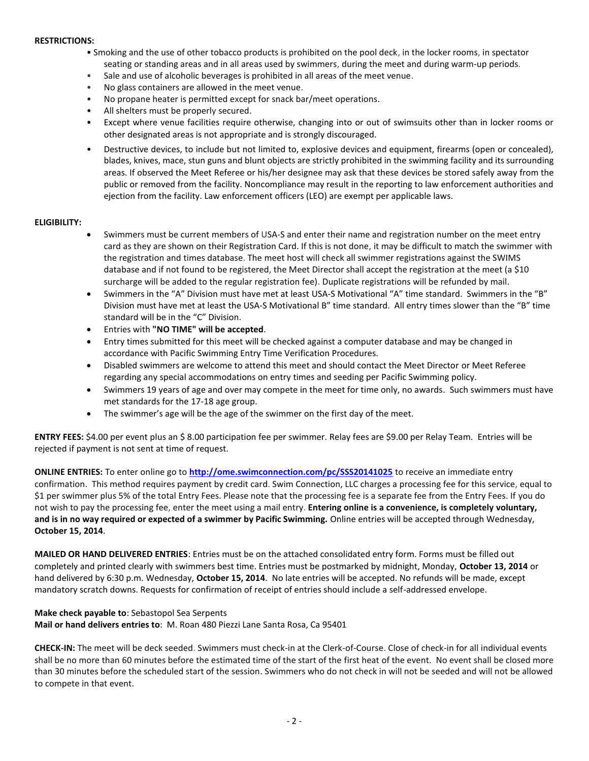#### **RESTRICTIONS:**

- Smoking and the use of other tobacco products is prohibited on the pool deck, in the locker rooms, in spectator seating or standing areas and in all areas used by swimmers, during the meet and during warm-up periods.
- Sale and use of alcoholic beverages is prohibited in all areas of the meet venue.
- No glass containers are allowed in the meet venue.
- No propane heater is permitted except for snack bar/meet operations.
- All shelters must be properly secured.
- Except where venue facilities require otherwise, changing into or out of swimsuits other than in locker rooms or other designated areas is not appropriate and is strongly discouraged.
- Destructive devices, to include but not limited to, explosive devices and equipment, firearms (open or concealed), blades, knives, mace, stun guns and blunt objects are strictly prohibited in the swimming facility and its surrounding areas. If observed the Meet Referee or his/her designee may ask that these devices be stored safely away from the public or removed from the facility. Noncompliance may result in the reporting to law enforcement authorities and ejection from the facility. Law enforcement officers (LEO) are exempt per applicable laws.

#### **ELIGIBILITY:**

- Swimmers must be current members of USA-S and enter their name and registration number on the meet entry card as they are shown on their Registration Card. If this is not done, it may be difficult to match the swimmer with the registration and times database. The meet host will check all swimmer registrations against the SWIMS database and if not found to be registered, the Meet Director shall accept the registration at the meet (a \$10 surcharge will be added to the regular registration fee). Duplicate registrations will be refunded by mail.
- Swimmers in the "A" Division must have met at least USA-S Motivational "A" time standard. Swimmers in the "B" Division must have met at least the USA-S Motivational B" time standard. All entry times slower than the "B" time standard will be in the "C" Division.
- Entries with **"NO TIME" will be accepted**.
- Entry times submitted for this meet will be checked against a computer database and may be changed in accordance with Pacific Swimming Entry Time Verification Procedures.
- Disabled swimmers are welcome to attend this meet and should contact the Meet Director or Meet Referee regarding any special accommodations on entry times and seeding per Pacific Swimming policy.
- Swimmers 19 years of age and over may compete in the meet for time only, no awards. Such swimmers must have met standards for the 17-18 age group.
- The swimmer's age will be the age of the swimmer on the first day of the meet.

**ENTRY FEES:** \$4.00 per event plus an \$ 8.00 participation fee per swimmer. Relay fees are \$9.00 per Relay Team. Entries will be rejected if payment is not sent at time of request.

**ONLINE ENTRIES:** To enter online go to **<http://ome.swimconnection.com/pc/SSS20141025>** to receive an immediate entry confirmation. This method requires payment by credit card. Swim Connection, LLC charges a processing fee for this service, equal to \$1 per swimmer plus 5% of the total Entry Fees. Please note that the processing fee is a separate fee from the Entry Fees. If you do not wish to pay the processing fee, enter the meet using a mail entry. **Entering online is a convenience, is completely voluntary, and is in no way required or expected of a swimmer by Pacific Swimming.** Online entries will be accepted through Wednesday, **October 15, 2014**.

**MAILED OR HAND DELIVERED ENTRIES**: Entries must be on the attached consolidated entry form. Forms must be filled out completely and printed clearly with swimmers best time. Entries must be postmarked by midnight, Monday, **October 13, 2014** or hand delivered by 6:30 p.m. Wednesday, **October 15, 2014**. No late entries will be accepted. No refunds will be made, except mandatory scratch downs. Requests for confirmation of receipt of entries should include a self-addressed envelope.

### **Make check payable to**: Sebastopol Sea Serpents **Mail or hand delivers entries to**: M. Roan 480 Piezzi Lane Santa Rosa, Ca 95401

**CHECK-IN:** The meet will be deck seeded. Swimmers must check-in at the Clerk-of-Course. Close of check-in for all individual events shall be no more than 60 minutes before the estimated time of the start of the first heat of the event. No event shall be closed more than 30 minutes before the scheduled start of the session. Swimmers who do not check in will not be seeded and will not be allowed to compete in that event.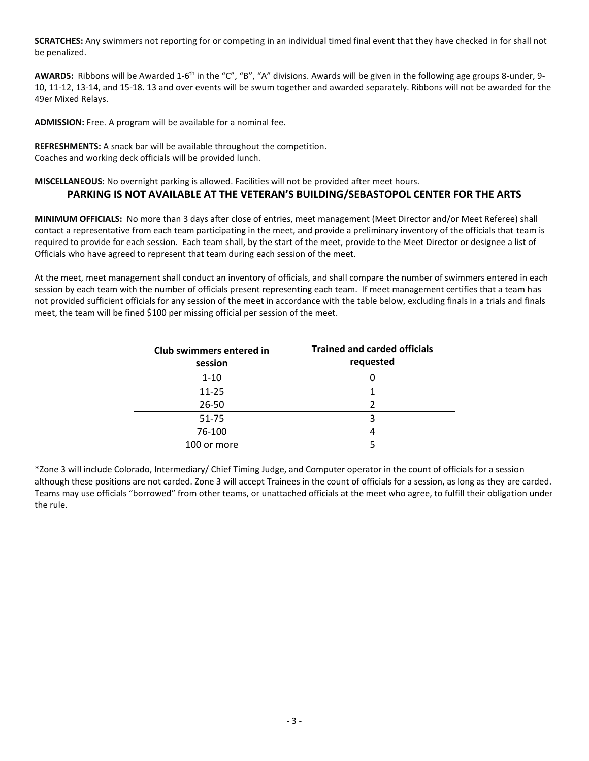**SCRATCHES:** Any swimmers not reporting for or competing in an individual timed final event that they have checked in for shall not be penalized.

AWARDS: Ribbons will be Awarded 1-6<sup>th</sup> in the "C", "B", "A" divisions. Awards will be given in the following age groups 8-under, 9-10, 11-12, 13-14, and 15-18. 13 and over events will be swum together and awarded separately. Ribbons will not be awarded for the 49er Mixed Relays.

**ADMISSION:** Free. A program will be available for a nominal fee.

**REFRESHMENTS:** A snack bar will be available throughout the competition. Coaches and working deck officials will be provided lunch.

**MISCELLANEOUS:** No overnight parking is allowed. Facilities will not be provided after meet hours.

# **PARKING IS NOT AVAILABLE AT THE VETERAN'S BUILDING/SEBASTOPOL CENTER FOR THE ARTS**

**MINIMUM OFFICIALS:** No more than 3 days after close of entries, meet management (Meet Director and/or Meet Referee) shall contact a representative from each team participating in the meet, and provide a preliminary inventory of the officials that team is required to provide for each session. Each team shall, by the start of the meet, provide to the Meet Director or designee a list of Officials who have agreed to represent that team during each session of the meet.

At the meet, meet management shall conduct an inventory of officials, and shall compare the number of swimmers entered in each session by each team with the number of officials present representing each team. If meet management certifies that a team has not provided sufficient officials for any session of the meet in accordance with the table below, excluding finals in a trials and finals meet, the team will be fined \$100 per missing official per session of the meet.

| Club swimmers entered in<br>session | <b>Trained and carded officials</b><br>requested |
|-------------------------------------|--------------------------------------------------|
| $1 - 10$                            |                                                  |
| $11 - 25$                           |                                                  |
| 26-50                               |                                                  |
| 51-75                               |                                                  |
| 76-100                              |                                                  |
| 100 or more                         |                                                  |

\*Zone 3 will include Colorado, Intermediary/ Chief Timing Judge, and Computer operator in the count of officials for a session although these positions are not carded. Zone 3 will accept Trainees in the count of officials for a session, as long as they are carded. Teams may use officials "borrowed" from other teams, or unattached officials at the meet who agree, to fulfill their obligation under the rule.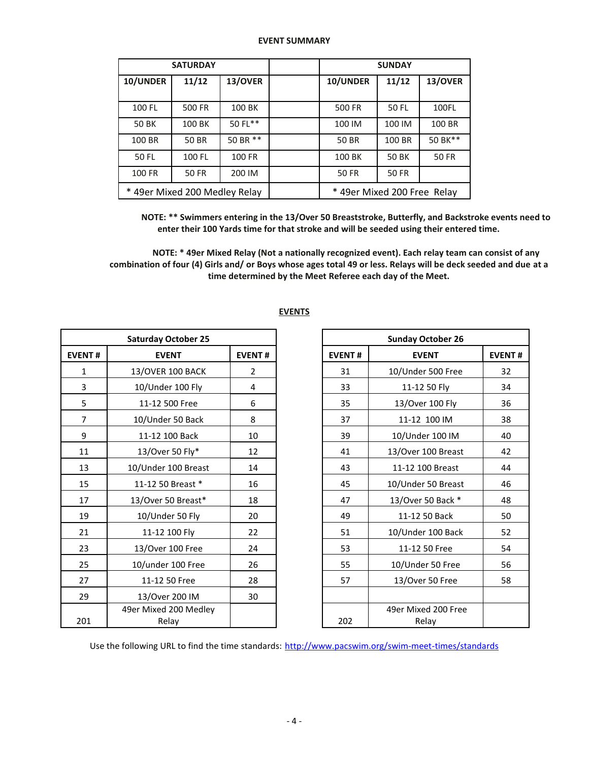### **EVENT SUMMARY**

|          | <b>SATURDAY</b>               |          | <b>SUNDAY</b>               |        |              |  |  |  |
|----------|-------------------------------|----------|-----------------------------|--------|--------------|--|--|--|
| 10/UNDER | 11/12                         | 13/OVER  | 10/UNDER                    | 11/12  | 13/OVER      |  |  |  |
| 100 FL   | 500 FR                        | 100 BK   | 500 FR                      | 50 FL  | 100FL        |  |  |  |
| 50 BK    | 100 BK                        | 50 FL**  | 100 IM                      | 100 IM | 100 BR       |  |  |  |
| 100 BR   | <b>50 BR</b>                  | 50 BR ** | 50 BR                       | 100 BR | 50 BK**      |  |  |  |
| 50 FL    | 100 FL                        | 100 FR   | 100 BK                      | 50 BK  | <b>50 FR</b> |  |  |  |
| 100 FR   | <b>50 FR</b>                  | 200 IM   | <b>50 FR</b><br>50 FR       |        |              |  |  |  |
|          | * 49er Mixed 200 Medley Relay |          | * 49er Mixed 200 Free Relay |        |              |  |  |  |

**NOTE: \*\* Swimmers entering in the 13/Over 50 Breaststroke, Butterfly, and Backstroke events need to enter their 100 Yards time for that stroke and will be seeded using their entered time.**

**NOTE: \* 49er Mixed Relay (Not a nationally recognized event). Each relay team can consist of any combination of four (4) Girls and/ or Boys whose ages total 49 or less. Relays will be deck seeded and due at a time determined by the Meet Referee each day of the Meet.**

|                | <b>Saturday October 25</b>     |                | <b>Sunday October 26</b> |                              |  |  |
|----------------|--------------------------------|----------------|--------------------------|------------------------------|--|--|
| <b>EVENT#</b>  | <b>EVENT</b>                   | <b>EVENT#</b>  | <b>EVENT#</b>            | <b>EVENT</b>                 |  |  |
| $\mathbf{1}$   | 13/OVER 100 BACK               | $\overline{2}$ | 31                       | 10/Under 500 Free            |  |  |
| 3              | 10/Under 100 Fly               | 4              | 33                       | 11-12 50 Fly                 |  |  |
| 5              | 11-12 500 Free                 | 6              | 35                       | 13/Over 100 Fly              |  |  |
| $\overline{7}$ | 10/Under 50 Back               | 8              | 37                       | 11-12 100 IM                 |  |  |
| 9              | 11-12 100 Back                 | 10             | 39                       | 10/Under 100 IM              |  |  |
| 11             | 13/Over 50 Fly*                | 12             | 41                       | 13/Over 100 Breast           |  |  |
| 13             | 10/Under 100 Breast            | 14             | 43                       | 11-12 100 Breast             |  |  |
| 15             | 11-12 50 Breast *              | 16             | 45                       | 10/Under 50 Breast           |  |  |
| 17             | 13/Over 50 Breast*             | 18             | 47                       | 13/Over 50 Back *            |  |  |
| 19             | 10/Under 50 Fly                | 20             | 49                       | 11-12 50 Back                |  |  |
| 21             | 11-12 100 Fly                  | 22             | 51                       | 10/Under 100 Back            |  |  |
| 23             | 13/Over 100 Free               | 24             | 53                       | 11-12 50 Free                |  |  |
| 25             | 10/under 100 Free              | 26             | 55                       | 10/Under 50 Free             |  |  |
| 27             | 11-12 50 Free                  | 28             | 57                       | 13/Over 50 Free              |  |  |
| 29             | 13/Over 200 IM                 | 30             |                          |                              |  |  |
| 201            | 49er Mixed 200 Medley<br>Relay |                | 202                      | 49er Mixed 200 Free<br>Relay |  |  |

## **EVENTS**

| <b>Sunday October 26</b> |                              |               |  |  |  |  |  |
|--------------------------|------------------------------|---------------|--|--|--|--|--|
| <b>EVENT#</b>            | <b>EVENT</b>                 | <b>EVENT#</b> |  |  |  |  |  |
| 31                       | 10/Under 500 Free            | 32            |  |  |  |  |  |
| 33                       | 11-12 50 Fly                 | 34            |  |  |  |  |  |
| 35                       | 13/Over 100 Fly              | 36            |  |  |  |  |  |
| 37                       | 11-12 100 IM                 | 38            |  |  |  |  |  |
| 39                       | 10/Under 100 IM              | 40            |  |  |  |  |  |
| 41                       | 13/Over 100 Breast           | 42            |  |  |  |  |  |
| 43                       | 11-12 100 Breast             | 44            |  |  |  |  |  |
| 45                       | 10/Under 50 Breast           | 46            |  |  |  |  |  |
| 47                       | 13/Over 50 Back *            | 48            |  |  |  |  |  |
| 49                       | 11-12 50 Back                | 50            |  |  |  |  |  |
| 51                       | 10/Under 100 Back            | 52            |  |  |  |  |  |
| 53                       | 11-12 50 Free                | 54            |  |  |  |  |  |
| 55                       | 10/Under 50 Free             | 56            |  |  |  |  |  |
| 57                       | 13/Over 50 Free              | 58            |  |  |  |  |  |
|                          |                              |               |  |  |  |  |  |
| 202                      | 49er Mixed 200 Free<br>Relav |               |  |  |  |  |  |

Use the following URL to find the time standards: <http://www.pacswim.org/swim-meet-times/standards>